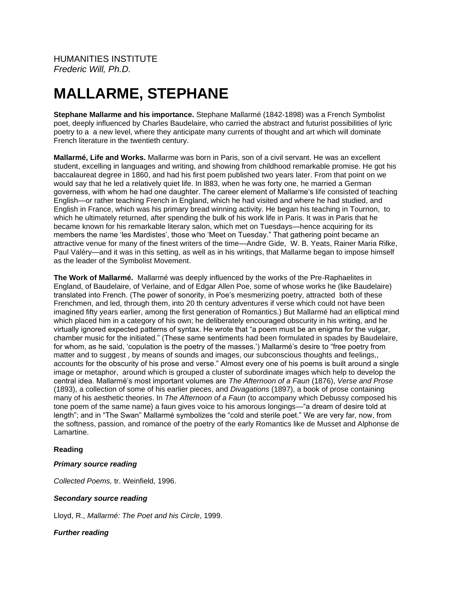# **MALLARME, STEPHANE**

**Stephane Mallarme and his importance.** Stephane Mallarmé (1842-1898) was a French Symbolist poet, deeply influenced by Charles Baudelaire, who carried the abstract and futurist possibilities of lyric poetry to a a new level, where they anticipate many currents of thought and art which will dominate French literature in the twentieth century.

**Mallarmé, Life and Works.** Mallarme was born in Paris, son of a civil servant. He was an excellent student, excelling in languages and writing, and showing from childhood remarkable promise. He got his baccalaureat degree in 1860, and had his first poem published two years later. From that point on we would say that he led a relatively quiet life. In l883, when he was forty one, he married a German governess, with whom he had one daughter. The career element of Mallarme's life consisted of teaching English—or rather teaching French in England, which he had visited and where he had studied, and English in France, which was his primary bread winning activity. He began his teaching in Tournon, to which he ultimately returned, after spending the bulk of his work life in Paris. It was in Paris that he became known for his remarkable literary salon, which met on Tuesdays—hence acquiring for its members the name 'les Mardistes', those who 'Meet on Tuesday." That gathering point became an attractive venue for many of the finest writers of the time—Andre Gide, W. B. Yeats, Rainer Maria Rilke, Paul Valéry—and it was in this setting, as well as in his writings, that Mallarme began to impose himself as the leader of the Symbolist Movement.

**The Work of Mallarmé.** Mallarmé was deeply influenced by the works of the Pre-Raphaelites in England, of Baudelaire, of Verlaine, and of Edgar Allen Poe, some of whose works he (like Baudelaire) translated into French. (The power of sonority, in Poe's mesmerizing poetry, attracted both of these Frenchmen, and led, through them, into 20 th century adventures if verse which could not have been imagined fifty years earlier, among the first generation of Romantics.) But Mallarmé had an elliptical mind which placed him in a category of his own; he deliberately encouraged obscurity in his writing, and he virtually ignored expected patterns of syntax. He wrote that "a poem must be an enigma for the vulgar, chamber music for the initiated." (These same sentiments had been formulated in spades by Baudelaire, for whom, as he said, 'copulation is the poetry of the masses.') Mallarmé's desire to "free poetry from matter and to suggest , by means of sounds and images, our subconscious thoughts and feelings,, accounts for the obscurity of his prose and verse." Almost every one of his poems is built around a single image or metaphor, around which is grouped a cluster of subordinate images which help to develop the central idea. Mallarmé's most important volumes are *The Afternoon of a Faun* (1876), *Verse and Prose* (1893), a collection of some of his earlier pieces, and *Divagations* (1897), a book of prose containing many of his aesthetic theories. In *The Afternoon of a Faun* (to accompany which Debussy composed his tone poem of the same name) a faun gives voice to his amorous longings—"a dream of desire told at length"; and in "The Swan" Mallarmé symbolizes the "cold and sterile poet." We are very far, now, from the softness, passion, and romance of the poetry of the early Romantics like de Musset and Alphonse de Lamartine.

## **Reading**

#### *Primary source reading*

*Collected Poems,* tr. Weinfield, 1996.

## *Secondary source reading*

Lloyd, R., *Mallarmé: The Poet and his Circle*, 1999.

## *Further reading*